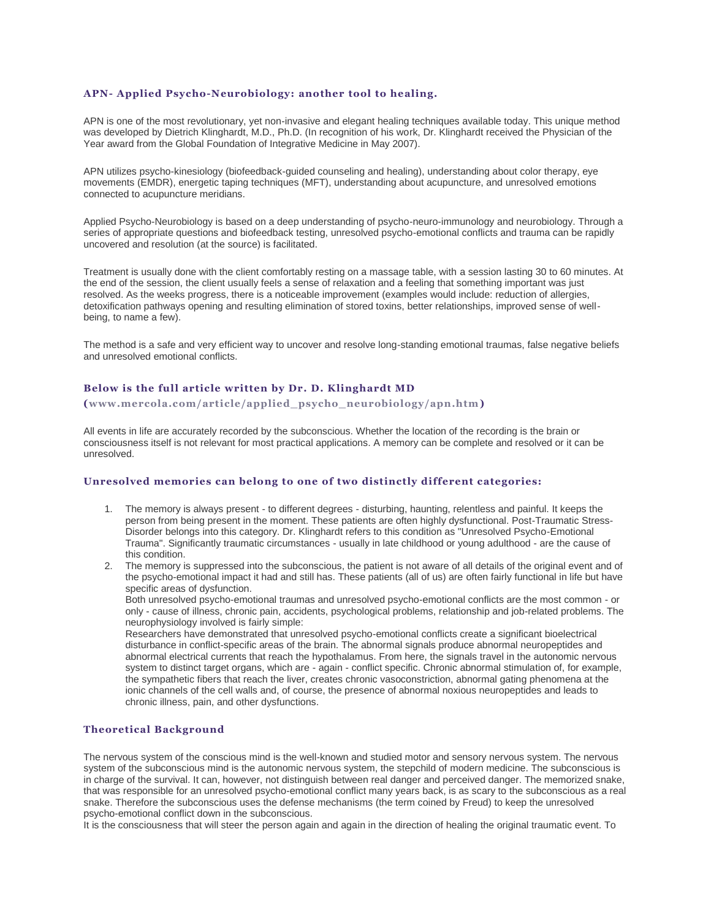### **APN- Applied Psycho-Neurobiology: another tool to healing.**

APN is one of the most revolutionary, yet non-invasive and elegant healing techniques available today. This unique method was developed by Dietrich Klinghardt, M.D., Ph.D. (In recognition of his work, Dr. Klinghardt received the Physician of the Year award from the Global Foundation of Integrative Medicine in May 2007).

APN utilizes psycho-kinesiology (biofeedback-guided counseling and healing), understanding about color therapy, eye movements (EMDR), energetic taping techniques (MFT), understanding about acupuncture, and unresolved emotions connected to acupuncture meridians.

Applied Psycho-Neurobiology is based on a deep understanding of psycho-neuro-immunology and neurobiology. Through a series of appropriate questions and biofeedback testing, unresolved psycho-emotional conflicts and trauma can be rapidly uncovered and resolution (at the source) is facilitated.

Treatment is usually done with the client comfortably resting on a massage table, with a session lasting 30 to 60 minutes. At the end of the session, the client usually feels a sense of relaxation and a feeling that something important was just resolved. As the weeks progress, there is a noticeable improvement (examples would include: reduction of allergies, detoxification pathways opening and resulting elimination of stored toxins, better relationships, improved sense of wellbeing, to name a few).

The method is a safe and very efficient way to uncover and resolve long-standing emotional traumas, false negative beliefs and unresolved emotional conflicts.

#### **Below is the full article written by Dr. D. Klinghardt MD**

**[\(www.mercola.com/article/applied\\_psycho\\_neurobiology/apn.htm\)](https://web.archive.org/web/20160521013622/http:/www.consciouslivingcenter.com/www.mercola.com/article/applied_psycho_neurobiology/apn.htm)**

All events in life are accurately recorded by the subconscious. Whether the location of the recording is the brain or consciousness itself is not relevant for most practical applications. A memory can be complete and resolved or it can be unresolved.

#### **Unresolved memories can belong to one of two distinctly different categories:**

- 1. The memory is always present to different degrees disturbing, haunting, relentless and painful. It keeps the person from being present in the moment. These patients are often highly dysfunctional. Post-Traumatic Stress-Disorder belongs into this category. Dr. Klinghardt refers to this condition as "Unresolved Psycho-Emotional Trauma". Significantly traumatic circumstances - usually in late childhood or young adulthood - are the cause of this condition.
- 2. The memory is suppressed into the subconscious, the patient is not aware of all details of the original event and of the psycho-emotional impact it had and still has. These patients (all of us) are often fairly functional in life but have specific areas of dysfunction.

Both unresolved psycho-emotional traumas and unresolved psycho-emotional conflicts are the most common - or only - cause of illness, chronic pain, accidents, psychological problems, relationship and job-related problems. The neurophysiology involved is fairly simple:

Researchers have demonstrated that unresolved psycho-emotional conflicts create a significant bioelectrical disturbance in conflict-specific areas of the brain. The abnormal signals produce abnormal neuropeptides and abnormal electrical currents that reach the hypothalamus. From here, the signals travel in the autonomic nervous system to distinct target organs, which are - again - conflict specific. Chronic abnormal stimulation of, for example, the sympathetic fibers that reach the liver, creates chronic vasoconstriction, abnormal gating phenomena at the ionic channels of the cell walls and, of course, the presence of abnormal noxious neuropeptides and leads to chronic illness, pain, and other dysfunctions.

### **Theoretical Background**

The nervous system of the conscious mind is the well-known and studied motor and sensory nervous system. The nervous system of the subconscious mind is the autonomic nervous system, the stepchild of modern medicine. The subconscious is in charge of the survival. It can, however, not distinguish between real danger and perceived danger. The memorized snake, that was responsible for an unresolved psycho-emotional conflict many years back, is as scary to the subconscious as a real snake. Therefore the subconscious uses the defense mechanisms (the term coined by Freud) to keep the unresolved psycho-emotional conflict down in the subconscious.

It is the consciousness that will steer the person again and again in the direction of healing the original traumatic event. To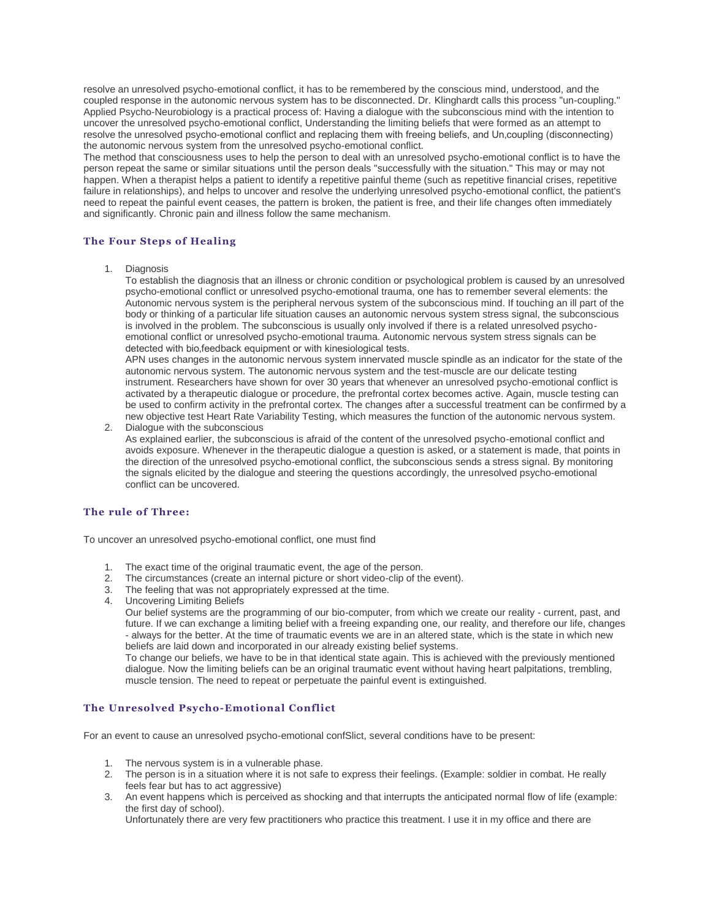resolve an unresolved psycho-emotional conflict, it has to be remembered by the conscious mind, understood, and the coupled response in the autonomic nervous system has to be disconnected. Dr. Klinghardt calls this process "un-coupling." Applied Psycho-Neurobiology is a practical process of: Having a dialogue with the subconscious mind with the intention to uncover the unresolved psycho-emotional conflict, Understanding the limiting beliefs that were formed as an attempt to resolve the unresolved psycho-emotional conflict and replacing them with freeing beliefs, and Un,coupling (disconnecting) the autonomic nervous system from the unresolved psycho-emotional conflict.

The method that consciousness uses to help the person to deal with an unresolved psycho-emotional conflict is to have the person repeat the same or similar situations until the person deals "successfully with the situation." This may or may not happen. When a therapist helps a patient to identify a repetitive painful theme (such as repetitive financial crises, repetitive failure in relationships), and helps to uncover and resolve the underlying unresolved psycho-emotional conflict, the patient's need to repeat the painful event ceases, the pattern is broken, the patient is free, and their life changes often immediately and significantly. Chronic pain and illness follow the same mechanism.

# **The Four Steps of Healing**

1. Diagnosis

To establish the diagnosis that an illness or chronic condition or psychological problem is caused by an unresolved psycho-emotional conflict or unresolved psycho-emotional trauma, one has to remember several elements: the Autonomic nervous system is the peripheral nervous system of the subconscious mind. If touching an ill part of the body or thinking of a particular life situation causes an autonomic nervous system stress signal, the subconscious is involved in the problem. The subconscious is usually only involved if there is a related unresolved psychoemotional conflict or unresolved psycho-emotional trauma. Autonomic nervous system stress signals can be detected with bio, feedback equipment or with kinesiological tests.

APN uses changes in the autonomic nervous system innervated muscle spindle as an indicator for the state of the autonomic nervous system. The autonomic nervous system and the test-muscle are our delicate testing instrument. Researchers have shown for over 30 years that whenever an unresolved psycho-emotional conflict is activated by a therapeutic dialogue or procedure, the prefrontal cortex becomes active. Again, muscle testing can be used to confirm activity in the prefrontal cortex. The changes after a successful treatment can be confirmed by a new objective test Heart Rate Variability Testing, which measures the function of the autonomic nervous system.

2. Dialogue with the subconscious

As explained earlier, the subconscious is afraid of the content of the unresolved psycho-emotional conflict and avoids exposure. Whenever in the therapeutic dialogue a question is asked, or a statement is made, that points in the direction of the unresolved psycho-emotional conflict, the subconscious sends a stress signal. By monitoring the signals elicited by the dialogue and steering the questions accordingly, the unresolved psycho-emotional conflict can be uncovered.

# **The rule of Three:**

To uncover an unresolved psycho-emotional conflict, one must find

- 1. The exact time of the original traumatic event, the age of the person.
- 2. The circumstances (create an internal picture or short video-clip of the event).
- 3. The feeling that was not appropriately expressed at the time.
- 4. Uncovering Limiting Beliefs

Our belief systems are the programming of our bio-computer, from which we create our reality - current, past, and future. If we can exchange a limiting belief with a freeing expanding one, our reality, and therefore our life, changes - always for the better. At the time of traumatic events we are in an altered state, which is the state in which new beliefs are laid down and incorporated in our already existing belief systems.

To change our beliefs, we have to be in that identical state again. This is achieved with the previously mentioned dialogue. Now the limiting beliefs can be an original traumatic event without having heart palpitations, trembling, muscle tension. The need to repeat or perpetuate the painful event is extinguished.

# **The Unresolved Psycho-Emotional Conflict**

For an event to cause an unresolved psycho-emotional confSlict, several conditions have to be present:

- 1. The nervous system is in a vulnerable phase.
- 2. The person is in a situation where it is not safe to express their feelings. (Example: soldier in combat. He really feels fear but has to act aggressive)
- 3. An event happens which is perceived as shocking and that interrupts the anticipated normal flow of life (example: the first day of school).

Unfortunately there are very few practitioners who practice this treatment. I use it in my office and there are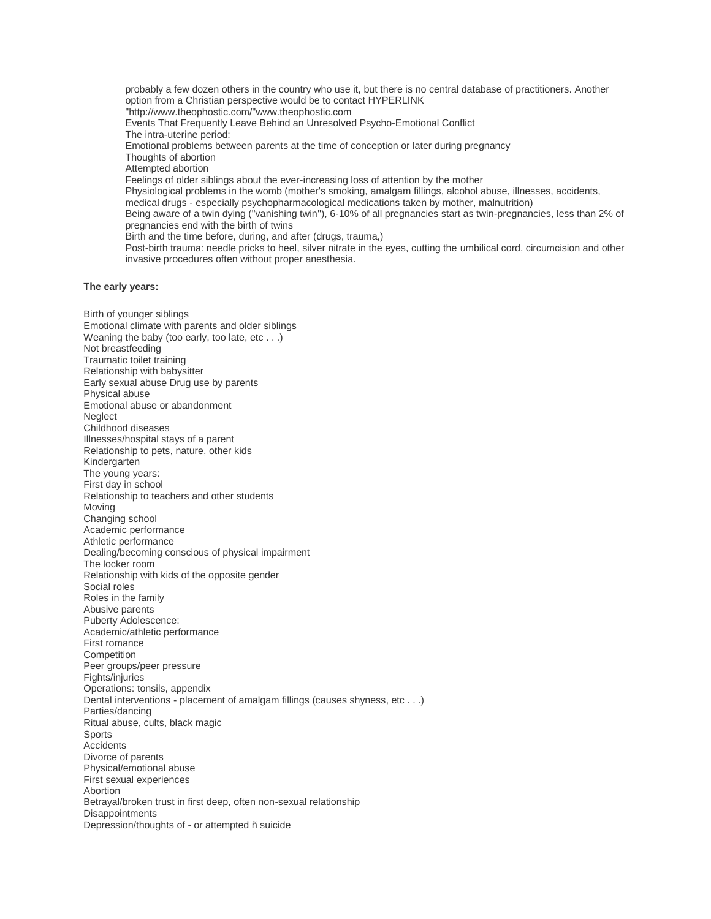probably a few dozen others in the country who use it, but there is no central database of practitioners. Another option from a Christian perspective would be to contact HYPERLINK "http://www.theophostic.com/"www.theophostic.com Events That Frequently Leave Behind an Unresolved Psycho-Emotional Conflict The intra-uterine period: Emotional problems between parents at the time of conception or later during pregnancy Thoughts of abortion Attempted abortion Feelings of older siblings about the ever-increasing loss of attention by the mother Physiological problems in the womb (mother's smoking, amalgam fillings, alcohol abuse, illnesses, accidents, medical drugs - especially psychopharmacological medications taken by mother, malnutrition) Being aware of a twin dying ("vanishing twin"), 6-10% of all pregnancies start as twin-pregnancies, less than 2% of pregnancies end with the birth of twins Birth and the time before, during, and after (drugs, trauma,) Post-birth trauma: needle pricks to heel, silver nitrate in the eyes, cutting the umbilical cord, circumcision and other invasive procedures often without proper anesthesia.

#### **The early years:**

Birth of younger siblings Emotional climate with parents and older siblings Weaning the baby (too early, too late, etc . . .) Not breastfeeding Traumatic toilet training Relationship with babysitter Early sexual abuse Drug use by parents Physical abuse Emotional abuse or abandonment **Neglect** Childhood diseases Illnesses/hospital stays of a parent Relationship to pets, nature, other kids Kindergarten The young years: First day in school Relationship to teachers and other students Moving Changing school Academic performance Athletic performance Dealing/becoming conscious of physical impairment The locker room Relationship with kids of the opposite gender Social roles Roles in the family Abusive parents Puberty Adolescence: Academic/athletic performance First romance **Competition** Peer groups/peer pressure Fights/injuries Operations: tonsils, appendix Dental interventions - placement of amalgam fillings (causes shyness, etc . . .) Parties/dancing Ritual abuse, cults, black magic Sports Accidents Divorce of parents Physical/emotional abuse First sexual experiences Abortion Betrayal/broken trust in first deep, often non-sexual relationship Disappointments Depression/thoughts of - or attempted ñ suicide